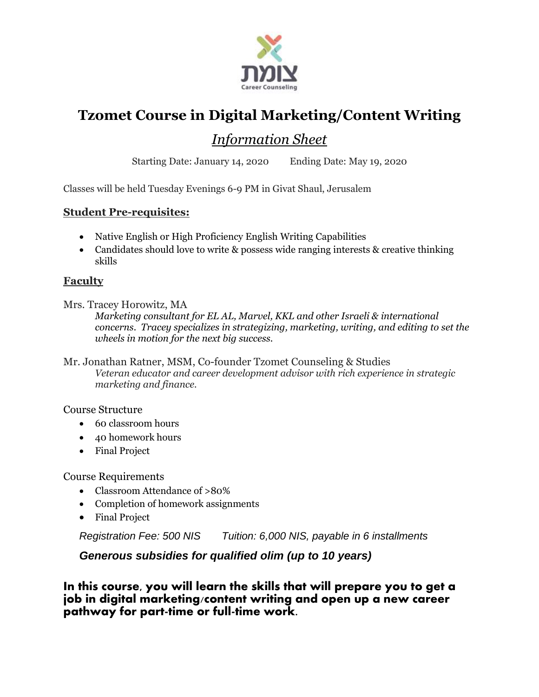

# **Tzomet Course in Digital Marketing/Content Writing**

### *Information Sheet*

Starting Date: January 14, 2020 Ending Date: May 19, 2020

Classes will be held Tuesday Evenings 6-9 PM in Givat Shaul, Jerusalem

#### **Student Pre-requisites:**

- Native English or High Proficiency English Writing Capabilities
- Candidates should love to write & possess wide ranging interests & creative thinking skills

#### **Faculty**

Mrs. Tracey Horowitz, MA

*Marketing consultant for EL AL, Marvel, KKL and other Israeli & international concerns. Tracey specializes in strategizing, marketing, writing, and editing to set the wheels in motion for the next big success.*

Mr. Jonathan Ratner, MSM, Co-founder Tzomet Counseling & Studies *Veteran educator and career development advisor with rich experience in strategic marketing and finance.*

Course Structure

- 60 classroom hours
- 40 homework hours
- Final Project

Course Requirements

- Classroom Attendance of >80%
- Completion of homework assignments
- Final Project

*Registration Fee: 500 NIS Tuition: 6,000 NIS, payable in 6 installments*

*Generous subsidies for qualified olim (up to 10 years)*

**In this course, you will learn the skills that will prepare you to get a job in digital marketing/content writing and open up a new career pathway for part-time or full-time work.**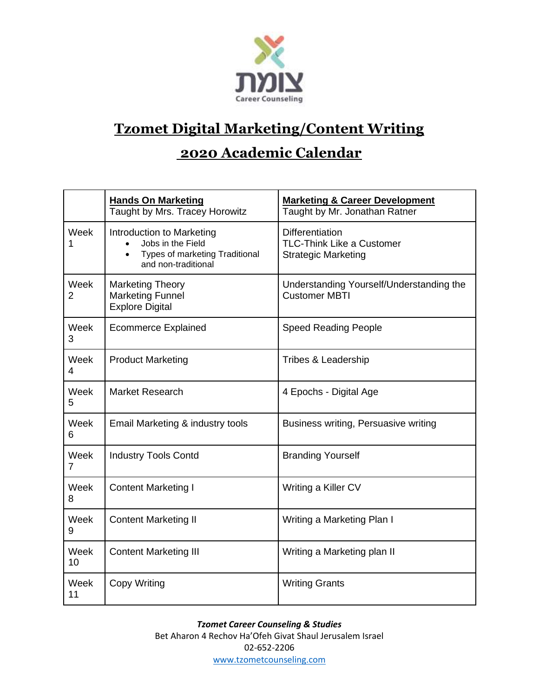

# **Tzomet Digital Marketing/Content Writing**

### **2020 Academic Calendar**

|            | <b>Hands On Marketing</b><br>Taught by Mrs. Tracey Horowitz                                             | <b>Marketing &amp; Career Development</b><br>Taught by Mr. Jonathan Ratner               |
|------------|---------------------------------------------------------------------------------------------------------|------------------------------------------------------------------------------------------|
| Week       | Introduction to Marketing<br>Jobs in the Field<br>Types of marketing Traditional<br>and non-traditional | <b>Differentiation</b><br><b>TLC-Think Like a Customer</b><br><b>Strategic Marketing</b> |
| Week<br>2  | <b>Marketing Theory</b><br><b>Marketing Funnel</b><br><b>Explore Digital</b>                            | Understanding Yourself/Understanding the<br><b>Customer MBTI</b>                         |
| Week<br>3  | <b>Ecommerce Explained</b>                                                                              | <b>Speed Reading People</b>                                                              |
| Week<br>4  | <b>Product Marketing</b>                                                                                | Tribes & Leadership                                                                      |
| Week<br>5  | <b>Market Research</b>                                                                                  | 4 Epochs - Digital Age                                                                   |
| Week<br>6  | Email Marketing & industry tools                                                                        | Business writing, Persuasive writing                                                     |
| Week<br>7  | <b>Industry Tools Contd</b>                                                                             | <b>Branding Yourself</b>                                                                 |
| Week<br>8  | <b>Content Marketing I</b>                                                                              | Writing a Killer CV                                                                      |
| Week<br>9  | <b>Content Marketing II</b>                                                                             | Writing a Marketing Plan I                                                               |
| Week<br>10 | <b>Content Marketing III</b>                                                                            | Writing a Marketing plan II                                                              |
| Week<br>11 | <b>Copy Writing</b>                                                                                     | <b>Writing Grants</b>                                                                    |